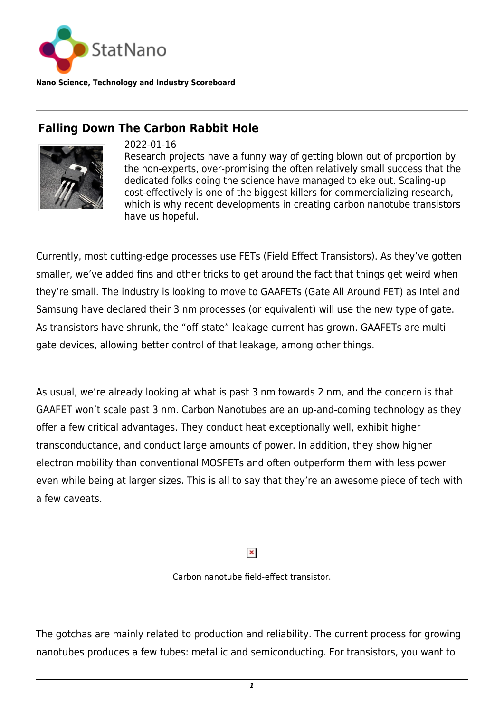

**Nano Science, Technology and Industry Scoreboard**

## **Falling Down The Carbon Rabbit Hole**



## 2022-01-16

Research projects have a funny way of getting blown out of proportion by the non-experts, over-promising the often relatively small success that the dedicated folks doing the science have managed to eke out. Scaling-up cost-effectively is one of the biggest killers for commercializing research, which is why recent developments in creating carbon nanotube transistors have us hopeful.

Currently, most cutting-edge processes use FETs (Field Effect Transistors). As they've gotten smaller, we've added fins and other tricks to get around the fact that things get weird when they're small. The industry is looking to move to GAAFETs (Gate All Around FET) as Intel and Samsung have declared their 3 nm processes (or equivalent) will use the new type of gate. As transistors have shrunk, the "off-state" leakage current has grown. GAAFETs are multigate devices, allowing better control of that leakage, among other things.

As usual, we're already looking at what is past 3 nm towards 2 nm, and the concern is that GAAFET won't scale past 3 nm. Carbon Nanotubes are an up-and-coming technology as they offer a few critical advantages. They conduct heat exceptionally well, exhibit higher transconductance, and conduct large amounts of power. In addition, they show higher electron mobility than conventional MOSFETs and often outperform them with less power even while being at larger sizes. This is all to say that they're an awesome piece of tech with a few caveats.

## $\pmb{\times}$

Carbon nanotube field-effect transistor.

The gotchas are mainly related to production and reliability. The current process for growing nanotubes produces a few tubes: metallic and semiconducting. For transistors, you want to